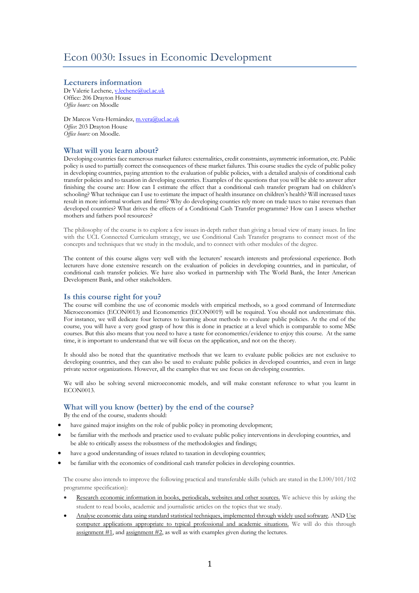## **Lecturers information**

Dr Valerie Lechene, v.lechene@ucl.ac.uk Office: 206 Drayton House *Office hours:* on Moodle

Dr Marcos Vera-Hernández, m.vera@ucl.ac.uk *Office*: 203 Drayton House *Office hours:* on Moodle.

# **What will you learn about?**

Developing countries face numerous market failures: externalities, credit constraints, asymmetric information, etc. Public policy is used to partially correct the consequences of these market failures. This course studies the cycle of public policy in developing countries, paying attention to the evaluation of public policies, with a detailed analysis of conditional cash transfer policies and to taxation in developing countries. Examples of the questions that you will be able to answer after finishing the course are: How can I estimate the effect that a conditional cash transfer program had on children's schooling? What technique can I use to estimate the impact of health insurance on children's health? Will increased taxes result in more informal workers and firms? Why do developing counties rely more on trade taxes to raise revenues than developed countries? What drives the effects of a Conditional Cash Transfer programme? How can I assess whether mothers and fathers pool resources?

The philosophy of the course is to explore a few issues in-depth rather than giving a broad view of many issues. In line with the UCL Connected Curriculum strategy, we use Conditional Cash Transfer programs to connect most of the concepts and techniques that we study in the module, and to connect with other modules of the degree.

The content of this course aligns very well with the lecturers' research interests and professional experience. Both lecturers have done extensive research on the evaluation of policies in developing countries, and in particular, of conditional cash transfer policies. We have also worked in partnership with The World Bank, the Inter American Development Bank, and other stakeholders.

## **Is this course right for you?**

The course will combine the use of economic models with empirical methods, so a good command of Intermediate Microeconomics (ECON0013) and Econometrics (ECON0019) will be required. You should not underestimate this. For instance, we will dedicate four lectures to learning about methods to evaluate public policies. At the end of the course, you will have a very good grasp of how this is done in practice at a level which is comparable to some MSc courses. But this also means that you need to have a taste for econometrics/evidence to enjoy this course. At the same time, it is important to understand that we will focus on the application, and not on the theory.

It should also be noted that the quantitative methods that we learn to evaluate public policies are not exclusive to developing countries, and they can also be used to evaluate public policies in developed countries, and even in large private sector organizations. However, all the examples that we use focus on developing countries.

We will also be solving several microeconomic models, and will make constant reference to what you learnt in ECON0013.

## **What will you know (better) by the end of the course?**

By the end of the course, students should:

- have gained major insights on the role of public policy in promoting development;
- be familiar with the methods and practice used to evaluate public policy interventions in developing countries, and be able to critically assess the robustness of the methodologies and findings;
- have a good understanding of issues related to taxation in developing countries;
- be familiar with the economics of conditional cash transfer policies in developing countries.

The course also intends to improve the following practical and transferable skills (which are stated in the L100/101/102 programme specification):

- Research economic information in books, periodicals, websites and other sources. We achieve this by asking the student to read books, academic and journalistic articles on the topics that we study.
- Analyse economic data using standard statistical techniques, implemented through widely used software*.* AND Use computer applications appropriate to typical professional and academic situations. We will do this through assignment #1, and assignment #2, as well as with examples given during the lectures.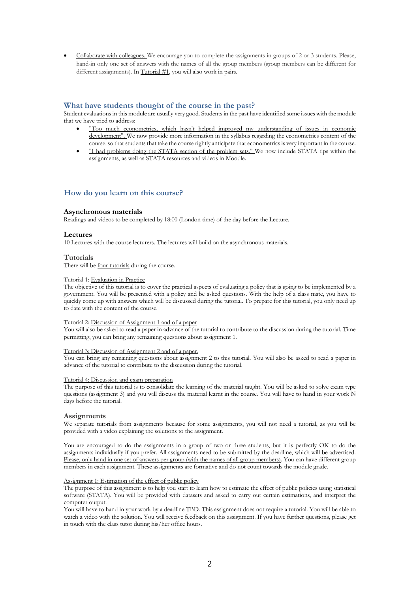• Collaborate with colleagues. We encourage you to complete the assignments in groups of 2 or 3 students. Please, hand-in only one set of answers with the names of all the group members (group members can be different for different assignments). In Tutorial #1, you will also work in pairs.

## **What have students thought of the course in the past?**

Student evaluations in this module are usually very good. Students in the past have identified some issues with the module that we have tried to address:

- "Too much econometrics, which hasn't helped improved my understanding of issues in economic development". We now provide more information in the syllabus regarding the econometrics content of the course, so that students that take the course rightly anticipate that econometrics is very important in the course.
- "I had problems doing the STATA section of the problem sets." We now include STATA tips within the assignments, as well as STATA resources and videos in Moodle.

# **How do you learn on this course?**

## **Asynchronous materials**

Readings and videos to be completed by 18:00 (London time) of the day before the Lecture.

## **Lectures**

10 Lectures with the course lecturers. The lectures will build on the asynchronous materials.

### **Tutorials**

There will be four tutorials during the course.

#### Tutorial 1: Evaluation in Practice

The objective of this tutorial is to cover the practical aspects of evaluating a policy that is going to be implemented by a government. You will be presented with a policy and be asked questions. With the help of a class mate, you have to quickly come up with answers which will be discussed during the tutorial. To prepare for this tutorial, you only need up to date with the content of the course.

#### Tutorial 2: Discussion of Assignment 1 and of a paper

You will also be asked to read a paper in advance of the tutorial to contribute to the discussion during the tutorial. Time permitting, you can bring any remaining questions about assignment 1.

#### Tutorial 3: Discussion of Assignment 2 and of a paper.

You can bring any remaining questions about assignment 2 to this tutorial. You will also be asked to read a paper in advance of the tutorial to contribute to the discussion during the tutorial.

### Tutorial 4: Discussion and exam preparation

The purpose of this tutorial is to consolidate the learning of the material taught. You will be asked to solve exam type questions (assignment 3) and you will discuss the material learnt in the course. You will have to hand in your work N days before the tutorial.

### **Assignments**

We separate tutorials from assignments because for some assignments, you will not need a tutorial, as you will be provided with a video explaining the solutions to the assignment.

You are encouraged to do the assignments in a group of two or three students, but it is perfectly OK to do the assignments individually if you prefer. All assignments need to be submitted by the deadline, which will be advertised. Please, only hand in one set of answers per group (with the names of all group members). You can have different group members in each assignment. These assignments are formative and do not count towards the module grade.

## Assignment 1: Estimation of the effect of public policy

The purpose of this assignment is to help you start to learn how to estimate the effect of public policies using statistical software (STATA). You will be provided with datasets and asked to carry out certain estimations, and interpret the computer output.

You will have to hand in your work by a deadline TBD. This assignment does not require a tutorial. You will be able to watch a video with the solution. You will receive feedback on this assignment. If you have further questions, please get in touch with the class tutor during his/her office hours.